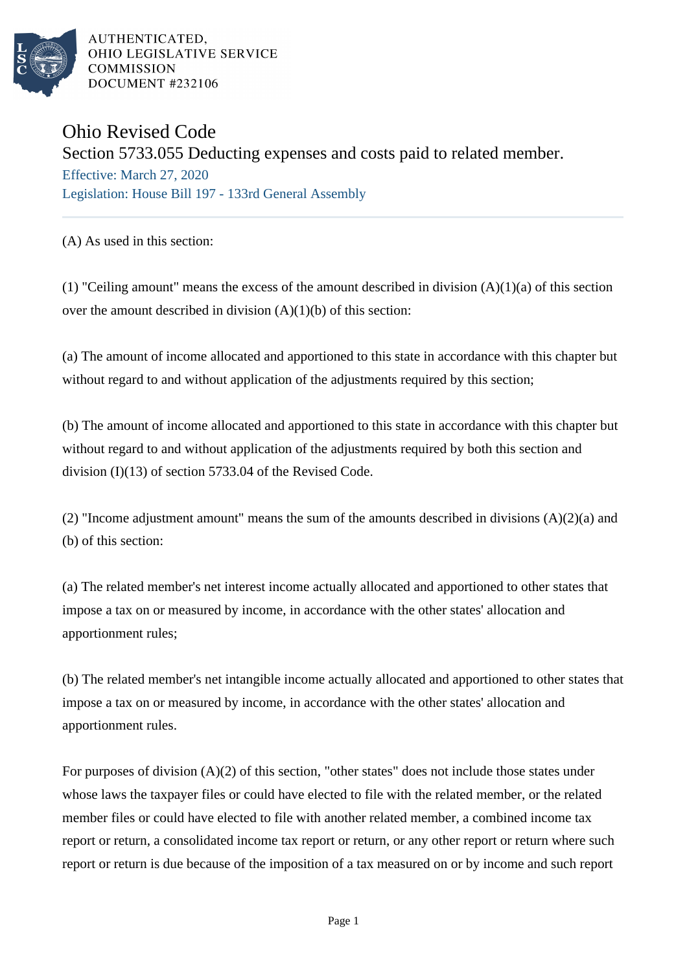

AUTHENTICATED. OHIO LEGISLATIVE SERVICE **COMMISSION DOCUMENT #232106** 

## Ohio Revised Code

Section 5733.055 Deducting expenses and costs paid to related member.

Effective: March 27, 2020 Legislation: House Bill 197 - 133rd General Assembly

(A) As used in this section:

(1) "Ceiling amount" means the excess of the amount described in division (A)(1)(a) of this section over the amount described in division  $(A)(1)(b)$  of this section:

(a) The amount of income allocated and apportioned to this state in accordance with this chapter but without regard to and without application of the adjustments required by this section;

(b) The amount of income allocated and apportioned to this state in accordance with this chapter but without regard to and without application of the adjustments required by both this section and division (I)(13) of section 5733.04 of the Revised Code.

(2) "Income adjustment amount" means the sum of the amounts described in divisions (A)(2)(a) and (b) of this section:

(a) The related member's net interest income actually allocated and apportioned to other states that impose a tax on or measured by income, in accordance with the other states' allocation and apportionment rules;

(b) The related member's net intangible income actually allocated and apportioned to other states that impose a tax on or measured by income, in accordance with the other states' allocation and apportionment rules.

For purposes of division (A)(2) of this section, "other states" does not include those states under whose laws the taxpayer files or could have elected to file with the related member, or the related member files or could have elected to file with another related member, a combined income tax report or return, a consolidated income tax report or return, or any other report or return where such report or return is due because of the imposition of a tax measured on or by income and such report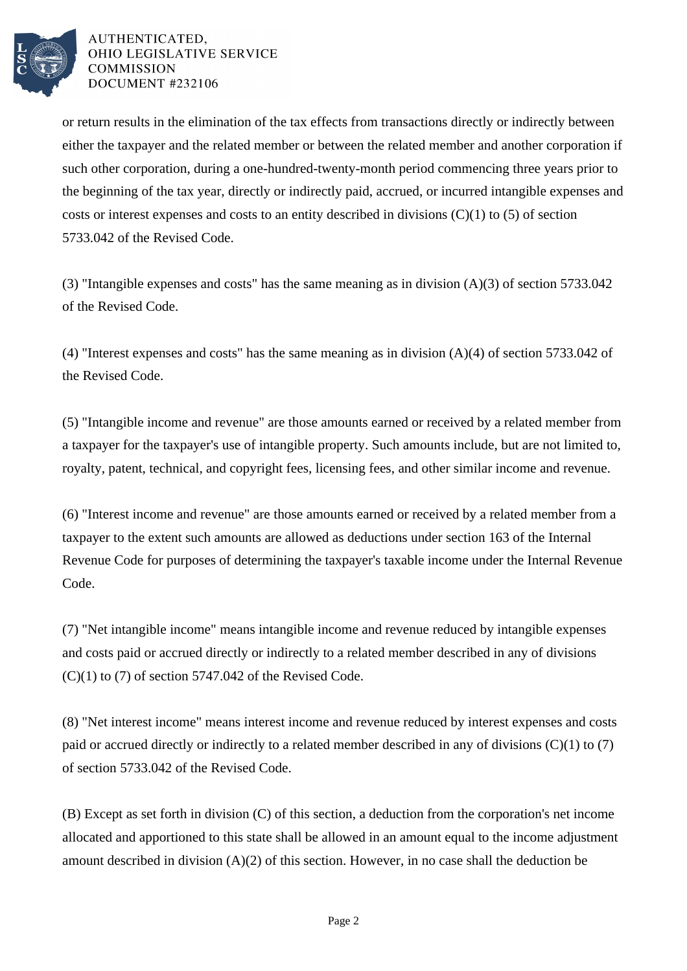

AUTHENTICATED. OHIO LEGISLATIVE SERVICE **COMMISSION DOCUMENT #232106** 

or return results in the elimination of the tax effects from transactions directly or indirectly between either the taxpayer and the related member or between the related member and another corporation if such other corporation, during a one-hundred-twenty-month period commencing three years prior to the beginning of the tax year, directly or indirectly paid, accrued, or incurred intangible expenses and costs or interest expenses and costs to an entity described in divisions (C)(1) to (5) of section 5733.042 of the Revised Code.

(3) "Intangible expenses and costs" has the same meaning as in division (A)(3) of section 5733.042 of the Revised Code.

(4) "Interest expenses and costs" has the same meaning as in division (A)(4) of section 5733.042 of the Revised Code.

(5) "Intangible income and revenue" are those amounts earned or received by a related member from a taxpayer for the taxpayer's use of intangible property. Such amounts include, but are not limited to, royalty, patent, technical, and copyright fees, licensing fees, and other similar income and revenue.

(6) "Interest income and revenue" are those amounts earned or received by a related member from a taxpayer to the extent such amounts are allowed as deductions under section 163 of the Internal Revenue Code for purposes of determining the taxpayer's taxable income under the Internal Revenue Code.

(7) "Net intangible income" means intangible income and revenue reduced by intangible expenses and costs paid or accrued directly or indirectly to a related member described in any of divisions  $(C)(1)$  to (7) of section 5747.042 of the Revised Code.

(8) "Net interest income" means interest income and revenue reduced by interest expenses and costs paid or accrued directly or indirectly to a related member described in any of divisions (C)(1) to (7) of section 5733.042 of the Revised Code.

(B) Except as set forth in division (C) of this section, a deduction from the corporation's net income allocated and apportioned to this state shall be allowed in an amount equal to the income adjustment amount described in division (A)(2) of this section. However, in no case shall the deduction be